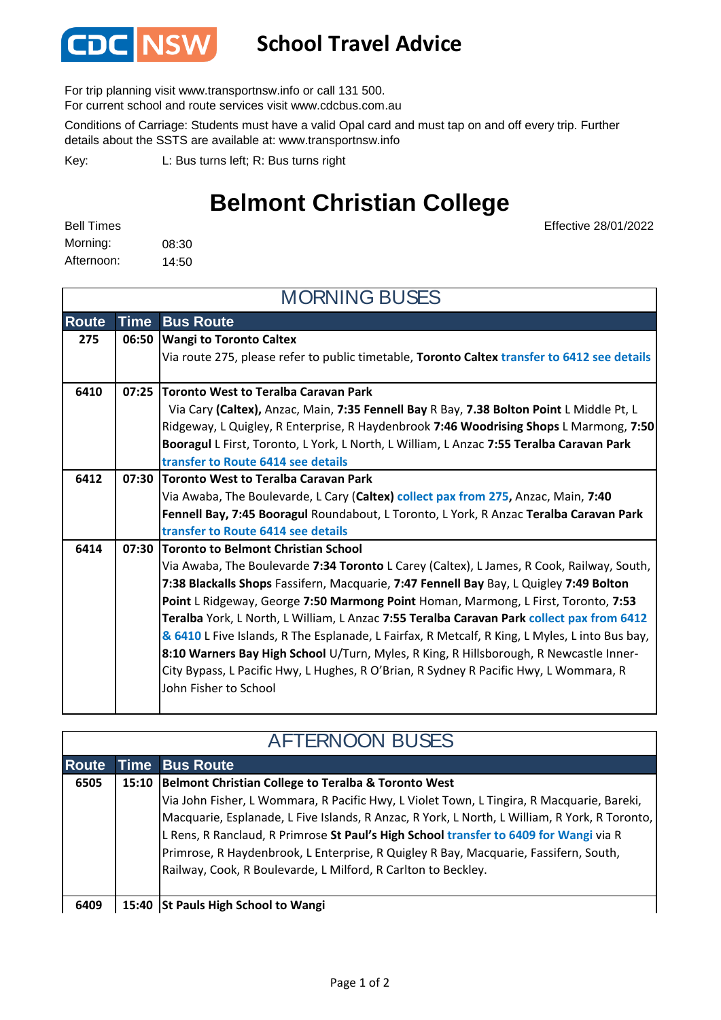

## **School Travel Advice**

For trip planning visit www.transportnsw.info or call 131 500.

For current school and route services visit www.cdcbus.com.au

Conditions of Carriage: Students must have a valid Opal card and must tap on and off every trip. Further details about the SSTS are available at: www.transportnsw.info

L: Bus turns left; R: Bus turns right Key:

## **Belmont Christian College**

08:30 14:50 Afternoon: Morning: Bell Times

Effective 28/01/2022

| <b>MORNING BUSES</b> |             |                                                                                                |  |  |
|----------------------|-------------|------------------------------------------------------------------------------------------------|--|--|
| <b>Route</b>         | <b>Time</b> | <b>Bus Route</b>                                                                               |  |  |
| 275                  | 06:50       | <b>Wangi to Toronto Caltex</b>                                                                 |  |  |
|                      |             | Via route 275, please refer to public timetable, Toronto Caltex transfer to 6412 see details   |  |  |
| 6410                 | 07:25       | <b>Toronto West to Teralba Caravan Park</b>                                                    |  |  |
|                      |             | Via Cary (Caltex), Anzac, Main, 7:35 Fennell Bay R Bay, 7.38 Bolton Point L Middle Pt, L       |  |  |
|                      |             | Ridgeway, L Quigley, R Enterprise, R Haydenbrook 7:46 Woodrising Shops L Marmong, 7:50         |  |  |
|                      |             | Booragul L First, Toronto, L York, L North, L William, L Anzac 7:55 Teralba Caravan Park       |  |  |
|                      |             | transfer to Route 6414 see details                                                             |  |  |
| 6412                 |             | 07:30 Toronto West to Teralba Caravan Park                                                     |  |  |
|                      |             | Via Awaba, The Boulevarde, L Cary (Caltex) collect pax from 275, Anzac, Main, 7:40             |  |  |
|                      |             | Fennell Bay, 7:45 Booragul Roundabout, L Toronto, L York, R Anzac Teralba Caravan Park         |  |  |
|                      |             | transfer to Route 6414 see details                                                             |  |  |
| 6414                 |             | 07:30 Toronto to Belmont Christian School                                                      |  |  |
|                      |             | Via Awaba, The Boulevarde 7:34 Toronto L Carey (Caltex), L James, R Cook, Railway, South,      |  |  |
|                      |             | 7:38 Blackalls Shops Fassifern, Macquarie, 7:47 Fennell Bay Bay, L Quigley 7:49 Bolton         |  |  |
|                      |             | Point L Ridgeway, George 7:50 Marmong Point Homan, Marmong, L First, Toronto, 7:53             |  |  |
|                      |             | Teralba York, L North, L William, L Anzac 7:55 Teralba Caravan Park collect pax from 6412      |  |  |
|                      |             | & 6410 L Five Islands, R The Esplanade, L Fairfax, R Metcalf, R King, L Myles, L into Bus bay, |  |  |
|                      |             | 8:10 Warners Bay High School U/Turn, Myles, R King, R Hillsborough, R Newcastle Inner-         |  |  |
|                      |             | City Bypass, L Pacific Hwy, L Hughes, R O'Brian, R Sydney R Pacific Hwy, L Wommara, R          |  |  |
|                      |             | John Fisher to School                                                                          |  |  |
|                      |             |                                                                                                |  |  |

| <b>AFTERNOON BUSES</b> |       |                                                                                               |  |  |
|------------------------|-------|-----------------------------------------------------------------------------------------------|--|--|
| <b>Route</b>           |       | <b>Time Bus Route</b>                                                                         |  |  |
| 6505                   | 15:10 | Belmont Christian College to Teralba & Toronto West                                           |  |  |
|                        |       | Via John Fisher, L Wommara, R Pacific Hwy, L Violet Town, L Tingira, R Macquarie, Bareki,     |  |  |
|                        |       | Macquarie, Esplanade, L Five Islands, R Anzac, R York, L North, L William, R York, R Toronto, |  |  |
|                        |       | L Rens, R Ranclaud, R Primrose St Paul's High School transfer to 6409 for Wangi via R         |  |  |
|                        |       | Primrose, R Haydenbrook, L Enterprise, R Quigley R Bay, Macquarie, Fassifern, South,          |  |  |
|                        |       | Railway, Cook, R Boulevarde, L Milford, R Carlton to Beckley.                                 |  |  |
|                        |       |                                                                                               |  |  |
| 6409                   |       | 15:40 St Pauls High School to Wangi                                                           |  |  |